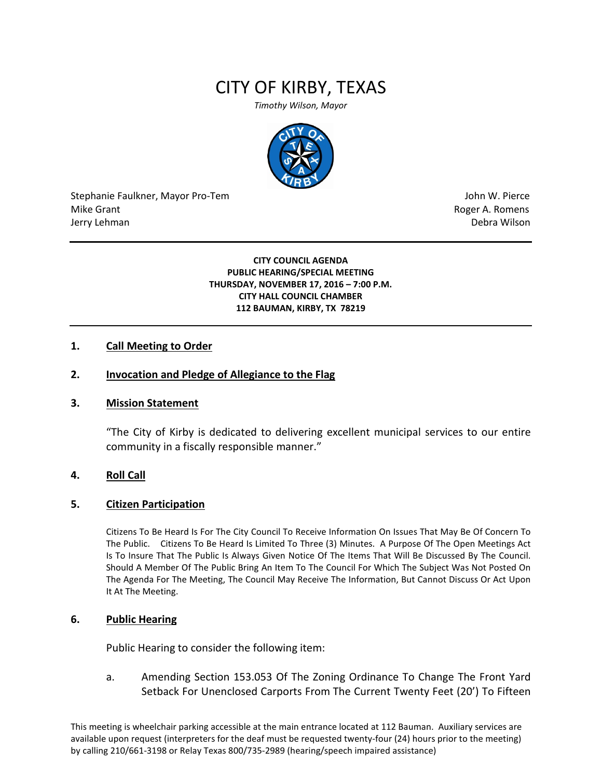# CITY OF KIRBY, TEXAS

*Timothy Wilson, Mayor*



Stephanie Faulkner, Mayor Pro-Tem John W. Pierce Mike Grant **Mike Grant** Roger A. Romens **Contract A. Romens Roger A. Romens** Jerry Lehman Debra Wilson (2008) and the state of the state of the state of the state of the state of the state of the state of the state of the state of the state of the state of the state of the state of the state of the

#### **CITY COUNCIL AGENDA PUBLIC HEARING/SPECIAL MEETING THURSDAY, NOVEMBER 17, 2016 – 7:00 P.M. CITY HALL COUNCIL CHAMBER 112 BAUMAN, KIRBY, TX 78219**

## **1. Call Meeting to Order**

## **2. Invocation and Pledge of Allegiance to the Flag**

#### **3. Mission Statement**

"The City of Kirby is dedicated to delivering excellent municipal services to our entire community in a fiscally responsible manner."

### **4. Roll Call**

#### **5. Citizen Participation**

Citizens To Be Heard Is For The City Council To Receive Information On Issues That May Be Of Concern To The Public. Citizens To Be Heard Is Limited To Three (3) Minutes. A Purpose Of The Open Meetings Act Is To Insure That The Public Is Always Given Notice Of The Items That Will Be Discussed By The Council. Should A Member Of The Public Bring An Item To The Council For Which The Subject Was Not Posted On The Agenda For The Meeting, The Council May Receive The Information, But Cannot Discuss Or Act Upon It At The Meeting.

#### **6. Public Hearing**

Public Hearing to consider the following item:

a. Amending Section 153.053 Of The Zoning Ordinance To Change The Front Yard Setback For Unenclosed Carports From The Current Twenty Feet (20') To Fifteen

This meeting is wheelchair parking accessible at the main entrance located at 112 Bauman. Auxiliary services are available upon request (interpreters for the deaf must be requested twenty-four (24) hours prior to the meeting) by calling 210/661-3198 or Relay Texas 800/735-2989 (hearing/speech impaired assistance)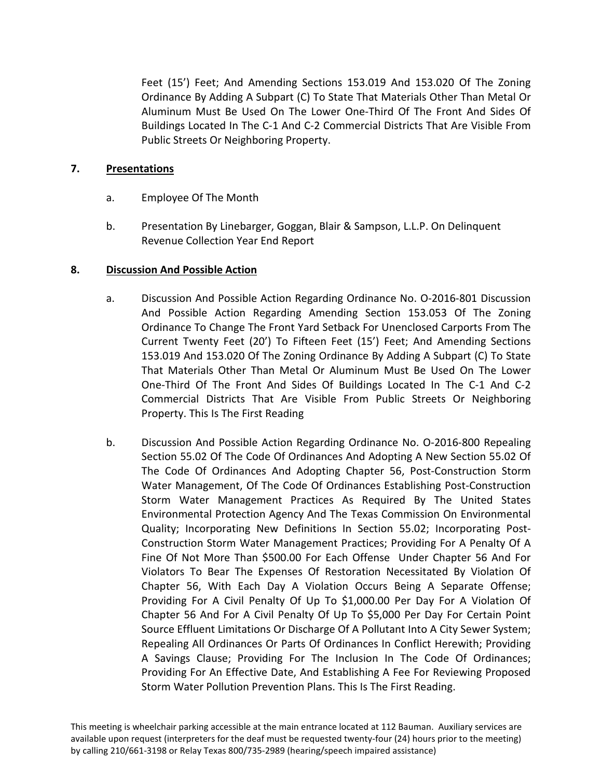Feet (15') Feet; And Amending Sections 153.019 And 153.020 Of The Zoning Ordinance By Adding A Subpart (C) To State That Materials Other Than Metal Or Aluminum Must Be Used On The Lower One-Third Of The Front And Sides Of Buildings Located In The C-1 And C-2 Commercial Districts That Are Visible From Public Streets Or Neighboring Property.

## **7. Presentations**

- a. Employee Of The Month
- b. Presentation By Linebarger, Goggan, Blair & Sampson, L.L.P. On Delinquent Revenue Collection Year End Report

## **8. Discussion And Possible Action**

- a. Discussion And Possible Action Regarding Ordinance No. O-2016-801 Discussion And Possible Action Regarding Amending Section 153.053 Of The Zoning Ordinance To Change The Front Yard Setback For Unenclosed Carports From The Current Twenty Feet (20') To Fifteen Feet (15') Feet; And Amending Sections 153.019 And 153.020 Of The Zoning Ordinance By Adding A Subpart (C) To State That Materials Other Than Metal Or Aluminum Must Be Used On The Lower One-Third Of The Front And Sides Of Buildings Located In The C-1 And C-2 Commercial Districts That Are Visible From Public Streets Or Neighboring Property. This Is The First Reading
- b. Discussion And Possible Action Regarding Ordinance No. O-2016-800 Repealing Section 55.02 Of The Code Of Ordinances And Adopting A New Section 55.02 Of The Code Of Ordinances And Adopting Chapter 56, Post-Construction Storm Water Management, Of The Code Of Ordinances Establishing Post-Construction Storm Water Management Practices As Required By The United States Environmental Protection Agency And The Texas Commission On Environmental Quality; Incorporating New Definitions In Section 55.02; Incorporating Post-Construction Storm Water Management Practices; Providing For A Penalty Of A Fine Of Not More Than \$500.00 For Each Offense Under Chapter 56 And For Violators To Bear The Expenses Of Restoration Necessitated By Violation Of Chapter 56, With Each Day A Violation Occurs Being A Separate Offense; Providing For A Civil Penalty Of Up To \$1,000.00 Per Day For A Violation Of Chapter 56 And For A Civil Penalty Of Up To \$5,000 Per Day For Certain Point Source Effluent Limitations Or Discharge Of A Pollutant Into A City Sewer System; Repealing All Ordinances Or Parts Of Ordinances In Conflict Herewith; Providing A Savings Clause; Providing For The Inclusion In The Code Of Ordinances; Providing For An Effective Date, And Establishing A Fee For Reviewing Proposed Storm Water Pollution Prevention Plans. This Is The First Reading.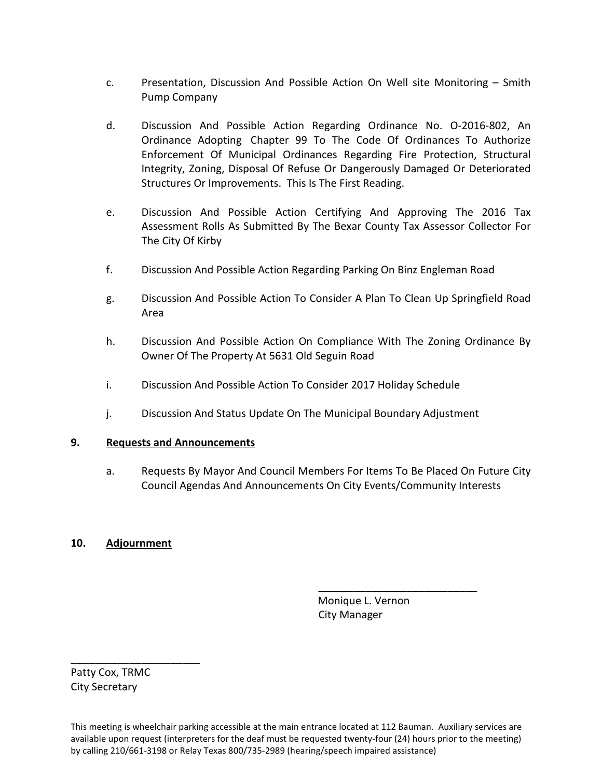- c. Presentation, Discussion And Possible Action On Well site Monitoring Smith Pump Company
- d. Discussion And Possible Action Regarding Ordinance No. O-2016-802, An Ordinance Adopting Chapter 99 To The Code Of Ordinances To Authorize Enforcement Of Municipal Ordinances Regarding Fire Protection, Structural Integrity, Zoning, Disposal Of Refuse Or Dangerously Damaged Or Deteriorated Structures Or Improvements. This Is The First Reading.
- e. Discussion And Possible Action Certifying And Approving The 2016 Tax Assessment Rolls As Submitted By The Bexar County Tax Assessor Collector For The City Of Kirby
- f. Discussion And Possible Action Regarding Parking On Binz Engleman Road
- g. Discussion And Possible Action To Consider A Plan To Clean Up Springfield Road Area
- h. Discussion And Possible Action On Compliance With The Zoning Ordinance By Owner Of The Property At 5631 Old Seguin Road
- i. Discussion And Possible Action To Consider 2017 Holiday Schedule
- j. Discussion And Status Update On The Municipal Boundary Adjustment

## **9. Requests and Announcements**

a. Requests By Mayor And Council Members For Items To Be Placed On Future City Council Agendas And Announcements On City Events/Community Interests

## **10. Adjournment**

 Monique L. Vernon City Manager

\_\_\_\_\_\_\_\_\_\_\_\_\_\_\_\_\_\_\_\_\_\_\_\_\_\_\_

Patty Cox, TRMC City Secretary

\_\_\_\_\_\_\_\_\_\_\_\_\_\_\_\_\_\_\_\_\_\_

This meeting is wheelchair parking accessible at the main entrance located at 112 Bauman. Auxiliary services are available upon request (interpreters for the deaf must be requested twenty-four (24) hours prior to the meeting) by calling 210/661-3198 or Relay Texas 800/735-2989 (hearing/speech impaired assistance)